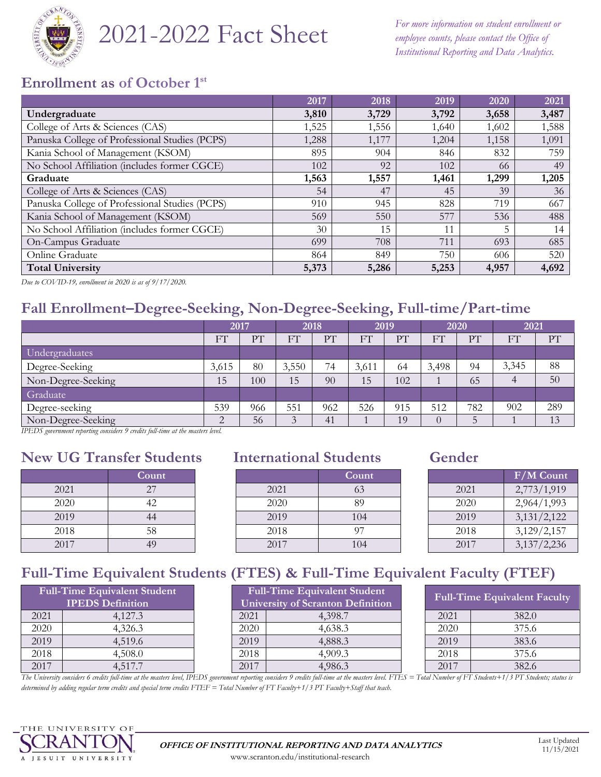

# 2021-2022 Fact Sheet

*For more information on student enrollment or employee counts, please contact the Office of Institutional Reporting and Data Analytics.*

## **Enrollment as of October 1st**

|                                                | 2017  | 2018  | 2019  | 2020  | 2021  |
|------------------------------------------------|-------|-------|-------|-------|-------|
| Undergraduate                                  | 3,810 | 3,729 | 3,792 | 3,658 | 3,487 |
| College of Arts & Sciences (CAS)               | 1,525 | 1,556 | 1,640 | 1,602 | 1,588 |
| Panuska College of Professional Studies (PCPS) | 1,288 | 1,177 | 1,204 | 1,158 | 1,091 |
| Kania School of Management (KSOM)              | 895   | 904   | 846   | 832   | 759   |
| No School Affiliation (includes former CGCE)   | 102   | 92    | 102   | 66    | 49    |
| Graduate                                       | 1,563 | 1,557 | 1,461 | 1,299 | 1,205 |
| College of Arts & Sciences (CAS)               | 54    | 47    | 45    | 39    | 36    |
| Panuska College of Professional Studies (PCPS) | 910   | 945   | 828   | 719   | 667   |
| Kania School of Management (KSOM)              | 569   | 550   | 577   | 536   | 488   |
| No School Affiliation (includes former CGCE)   | 30    | 15    | 11    | 5     | 14    |
| On-Campus Graduate                             | 699   | 708   | 711   | 693   | 685   |
| Online Graduate                                | 864   | 849   | 750   | 606   | 520   |
| <b>Total University</b>                        | 5,373 | 5,286 | 5,253 | 4,957 | 4,692 |

*Due to COVID-19, enrollment in 2020 is as of 9/17/2020.*

# **Fall Enrollment–Degree-Seeking, Non-Degree-Seeking, Full-time/Part-time**

|                    | 2017  |     | 2018              |     | 2019  |     | 2020     |     | 2021           |     |
|--------------------|-------|-----|-------------------|-----|-------|-----|----------|-----|----------------|-----|
|                    | FT    | PТ  | FТ                | PT  | FT    | PT  | FT       | PT  | F <sub>1</sub> | PT  |
| Undergraduates     |       |     |                   |     |       |     |          |     |                |     |
| Degree-Seeking     | 3,615 | 80  | 3,550             | 74  | 3,611 | 64  | 3,498    | 94  | 3,345          | 88  |
| Non-Degree-Seeking | 15    | 100 | 15                | 90  | 15    | 102 |          | 65  | 4              | 50  |
| Graduate           |       |     |                   |     |       |     |          |     |                |     |
| Degree-seeking     | 539   | 966 | 551               | 962 | 526   | 915 | 512      | 782 | 902            | 289 |
| Non-Degree-Seeking | ◠     | 56  | $\mathbf{\Omega}$ | 41  |       | 19  | $\theta$ |     |                | 13  |

*IPEDS government reporting considers 9 credits full-time at the masters level.*

## **New UG Transfer Students International Students Gender**

|      | <b>Count</b> |
|------|--------------|
| 2021 | 27           |
| 2020 | 42           |
| 2019 | 44           |
| 2018 | 58           |
| 2017 |              |

|      | Count |      | Count |      | F/M Count   |
|------|-------|------|-------|------|-------------|
| 2021 |       | 2021 | 63    | 2021 | 2,773/1,919 |
| 2020 | 42    | 2020 | 89    | 2020 | 2,964/1,993 |
| 2019 | 44    | 2019 | 104   | 2019 | 3,131/2,122 |
| 2018 | 58    | 2018 | 97    | 2018 | 3,129/2,157 |
| 2017 | 49    | 2017 | 104   | 2017 | 3,137/2,236 |

|      | F/M Count   |
|------|-------------|
| 2021 | 2,773/1,919 |
| 2020 | 2,964/1,993 |
| 2019 | 3,131/2,122 |
| 2018 | 3,129/2,157 |
| 2017 | 3,137/2,236 |

# **Full-Time Equivalent Students (FTES) & Full-Time Equivalent Faculty (FTEF)**

|                         | <b>Full-Time Equivalent Student</b> |  |  |  |  |  |
|-------------------------|-------------------------------------|--|--|--|--|--|
| <b>IPEDS</b> Definition |                                     |  |  |  |  |  |
| 2021                    | 4,127.3                             |  |  |  |  |  |
| 2020                    | 4,326.3                             |  |  |  |  |  |
| 2019                    | 4,519.6                             |  |  |  |  |  |
| 2018                    | 4,508.0                             |  |  |  |  |  |
|                         | 4 517 J                             |  |  |  |  |  |

| <b>Full-Time Equivalent Student</b><br><b>IPEDS</b> Definition |         | <b>Full-Time Equivalent Student</b><br><b>University of Scranton Definition</b> |         |  |      | <b>Full-Time Equivalent Faculty</b> |
|----------------------------------------------------------------|---------|---------------------------------------------------------------------------------|---------|--|------|-------------------------------------|
| 2021                                                           | 4.127.3 | 2021                                                                            | 4,398.7 |  | 2021 | 382.0                               |
| 2020                                                           | 4,326.3 | 2020                                                                            | 4,638.3 |  | 2020 | 375.6                               |
| 2019                                                           | 4,519.6 | 2019                                                                            | 4,888.3 |  | 2019 | 383.6                               |
| 2018                                                           | 4,508.0 | 2018                                                                            | 4.909.3 |  | 2018 | 375.6                               |
| 2017                                                           | 4.517.7 | 2017                                                                            | 4,986.3 |  | 2017 | 382.6                               |

| <b>Full-Time Equivalent Faculty</b> |       |  |  |  |  |  |
|-------------------------------------|-------|--|--|--|--|--|
| 2021                                | 382.0 |  |  |  |  |  |
| 2020                                | 375.6 |  |  |  |  |  |
| 2019                                | 383.6 |  |  |  |  |  |
| 2018                                | 375.6 |  |  |  |  |  |
| 2017                                | 382.6 |  |  |  |  |  |

*The University considers 6 credits full-time at the masters level, IPEDS government reporting considers 9 credits full-time at the masters level. FTES = Total Number of FT Students+1/3 PT Students; status is determined by adding regular term credits and special term credits FTEF = Total Number of FT Faculty+1/3 PT Faculty+Staff that teach.*